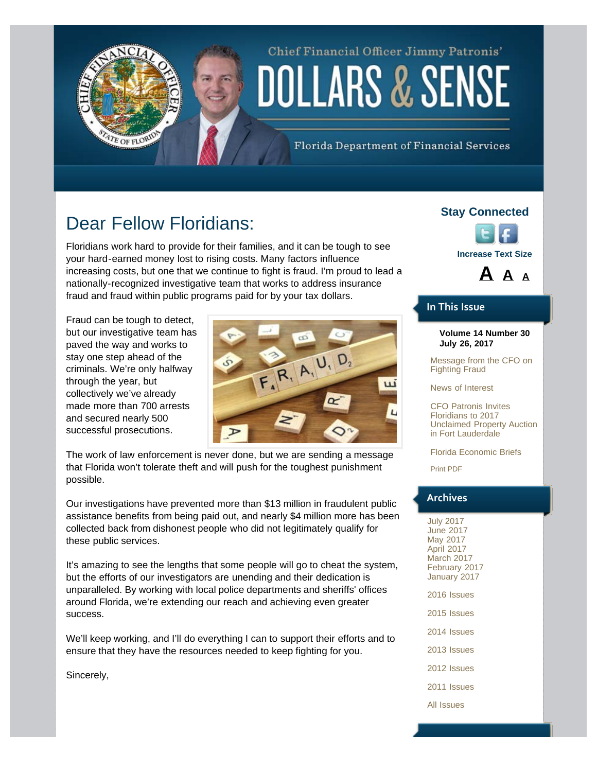## Chief Financial Officer Jimmy Patronis' DOLLARS & SENSE

Florida Department of Financial Services

## Dear Fellow Floridians:

<span id="page-0-0"></span>TE OF FLORID

Floridians work hard to provide for their families, and it can be tough to see your hard-earned money lost to rising costs. Many factors influence increasing costs, but one that we continue to fight is fraud. I'm proud to lead a nationally-recognized investigative team that works to address insurance fraud and fraud within public programs paid for by your tax dollars.

Fraud can be tough to detect, but our investigative team has paved the way and works to stay one step ahead of the criminals. We're only halfway through the year, but collectively we've already made more than 700 arrests and secured nearly 500 successful prosecutions.



The work of law enforcement is never done, but we are sending a message that Florida won't tolerate theft and will push for the toughest punishment possible.

Our investigations have prevented more than \$13 million in fraudulent public assistance benefits from being paid out, and nearly \$4 million more has been collected back from dishonest people who did not legitimately qualify for these public services.

It's amazing to see the lengths that some people will go to cheat the system, but the efforts of our investigators are unending and their dedication is unparalleled. By working with local police departments and sheriffs' offices around Florida, we're extending our reach and achieving even greater success.

We'll keep working, and I'll do everything I can to support their efforts and to ensure that they have the resources needed to keep fighting for you.

Sincerely,

### **Stay Connected**





### **In This Issue**

### **Volume 14 Number 30 July 26, 2017**

[Message from the CFO on](#page-0-0) [Fighting Fraud](#page-0-0)

[News of Interest](#page-1-0)

[CFO Patronis Invites](#page-1-0) [Floridians to 2017](#page-1-0) [Unclaimed Property Auction](#page-1-0) [in Fort Lauderdale](#page-1-0)

[Florida Economic Briefs](#page-2-0)

[Print PDF](http://www.myfloridacfo.com/PressOffice/Newsletter/2017/072617/CFOPatronisDollarsSense072617.pdf)

### **Archives**

[July 2017](http://staging.fldoi.gov/pressoffice/newsletter/newsletter_archivenew.htm) [June 2017](http://staging.fldoi.gov/pressoffice/newsletter/newsletter_archive161.htm) [May 2017](http://staging.fldoi.gov/pressoffice/newsletter/newsletter_archive161.htm) [April 2017](http://staging.fldoi.gov/pressoffice/newsletter/newsletter_archive160.htm) [March 2017](http://staging.fldoi.gov/pressoffice/newsletter/newsletter_archive159.htm) [February 2017](http://staging.fldoi.gov/pressoffice/newsletter/newsletter_archive158.htm) [January 2017](http://staging.fldoi.gov/pressoffice/newsletter/newsletter_archive157.htm)

[2016 Issues](http://staging.fldoi.gov/pressoffice/newsletter/2014Issues.aspx#2016)

[2015 Issues](http://staging.fldoi.gov/pressoffice/newsletter/2014Issues.aspx#2015)

[2014 Issues](http://staging.fldoi.gov/pressoffice/newsletter/2014Issues.aspx#2014)

[2013 Issues](http://staging.fldoi.gov/pressoffice/newsletter/2014Issues.aspx#2013)

[2012 Issues](http://staging.fldoi.gov/pressoffice/newsletter/2014Issues.aspx#2012)

[2011 Issues](http://staging.fldoi.gov/pressoffice/newsletter/2014Issues.aspx#2011)

[All Issues](http://staging.fldoi.gov/pressoffice/newsletter/2014Issues.aspx#All)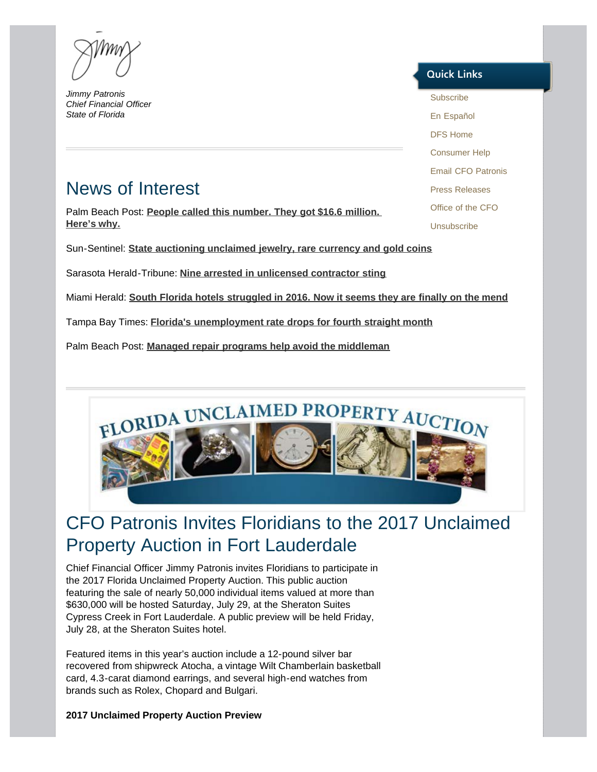*Jimmy Patronis Chief Financial Officer State of Florida* 

## <span id="page-1-0"></span>News of Interest

Palm Beach Post: **[People called this number. They got \\$16.6 million.](http://protectingyourpocket.blog.palmbeachpost.com/2017/07/21/why-people-got-16-6-million-in-6-months-by-calling-this-number/)  [Here's why.](http://protectingyourpocket.blog.palmbeachpost.com/2017/07/21/why-people-got-16-6-million-in-6-months-by-calling-this-number/)**

Sun-Sentinel: **[State auctioning unclaimed jewelry, rare currency and gold coins](http://www.sun-sentinel.com/news/politics/florida-politics-blog/fl-reg-auction-division-financial-services-20170718-story.html)**

Sarasota Herald-Tribune: **[Nine arrested in unlicensed contractor sting](http://www.heraldtribune.com/news/20170718/nine-arrested-in-unlicensed-contractor-sting)**

Miami Herald: **[South Florida hotels struggled in 2016. Now it seems they are finally on the mend](http://www.miamiherald.com/news/business/article162760078.html)**

Tampa Bay Times: **[Florida's unemployment rate drops for fourth straight month](http://www.tampabay.com/news/business/markets/floridas-unemployment-rate-drops-for-fourth-straight-month/2331079)**

Palm Beach Post: **[Managed repair programs help avoid the middleman](http://www.mypalmbeachpost.com/news/opinion/point-view-managed-repair-programs-help-avoid-the-middleman/jNAL7fmG5txCCVmnjf7ZOK/)**

# FLORIDA UNCLAIMED PROPERTY AUCTIO

## CFO Patronis Invites Floridians to the 2017 Unclaimed Property Auction in Fort Lauderdale

Chief Financial Officer Jimmy Patronis invites Floridians to participate in the 2017 Florida Unclaimed Property Auction. This public auction featuring the sale of nearly 50,000 individual items valued at more than \$630,000 will be hosted Saturday, July 29, at the Sheraton Suites Cypress Creek in Fort Lauderdale. A public preview will be held Friday, July 28, at the Sheraton Suites hotel.

Featured items in this year's auction include a 12-pound silver bar recovered from shipwreck Atocha, a vintage Wilt Chamberlain basketball card, 4.3-carat diamond earrings, and several high-end watches from brands such as Rolex, Chopard and Bulgari.

**2017 Unclaimed Property Auction Preview**

### **Quick Links**

[Subscribe](http://dfs.imarcsgroup.com/home/) [En Español](http://espanol.myfloridacfo.com/) [DFS Home](http://www.myfloridacfo.com/) [Consumer Help](http://www.myfloridacfo.com/Division/Consumers/needourhelp.htm) [Email CFO Patronis](mailto:CFO.Patronis@MyFloridaCFO.com) [Press Releases](http://www.myfloridacfo.com/sitePages/newsroom/default.aspx) [Office of the CFO](http://www.myfloridacfo.com/division/cfo/) [Unsubscribe](http://dfs.imarcsgroup.com/subscriber/unsubscribe/)